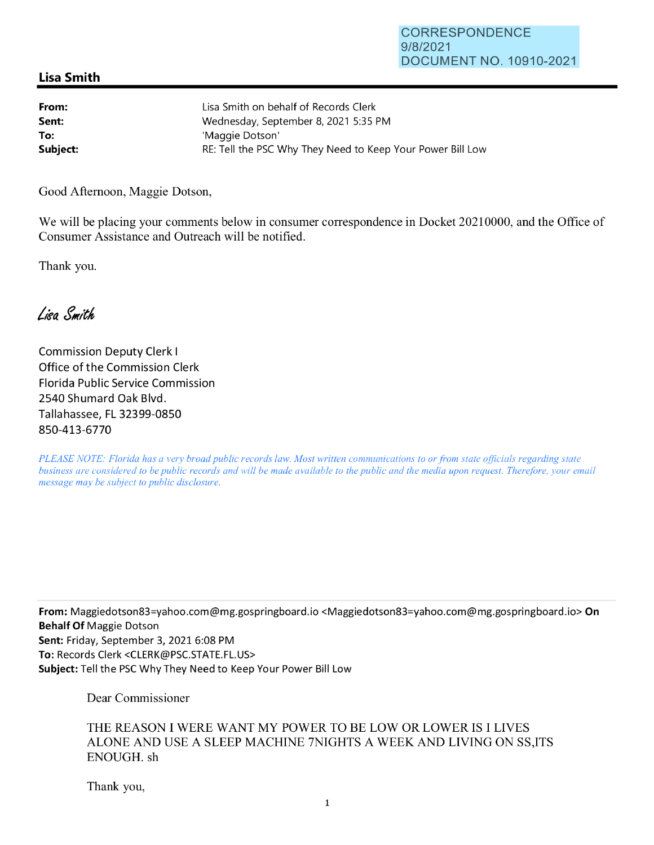## **Lisa Smith**

| From:    | Lisa Smith on behalf of Records Clerk                      |
|----------|------------------------------------------------------------|
| Sent:    | Wednesday, September 8, 2021 5:35 PM                       |
| To:      | 'Maggie Dotson'                                            |
| Subject: | RE: Tell the PSC Why They Need to Keep Your Power Bill Low |

Good Afternoon, Maggie Dotson,

We will be placing your comments below in consumer correspondence in Docket 20210000, and the Office of Consumer Assistance and Outreach will be notified.

Thank you.

Lisa Smith

Commission Deputy Clerk I Office of the Commission Clerk Florida Public Service Commission 2540 Shumard Oak Blvd. Tallahassee, FL 32399-0850 850-413-6770

*PLEASE NOTE: Florida has a very broad public records law. Most written communications to or from state officials regarding state business are considered to be public records and will be made available to the public and the media upon request. Therefore, your email message may be subject to public disclosure.* 

**From:** Maggiedotson83=yahoo.com@mg.gospringboard.io <Maggiedotson83=yahoo.com@mg.gospringboard.io> **On Behalf Of** Maggie Dotson **Sent:** Friday, September 3, 2021 6:08 PM **To:** Records Clerk <CLERK@PSC.STATE.FL.US> **Subject:** Tell the PSC Why They Need to Keep Your Power Bill Low

Dear Commissioner

THE REASON I WERE WANT MY POWER TO BE LOW OR LOWER IS I LIVES ALONE AND USE A SLEEP MACHINE 7NIGHTS A WEEK AND LIVING ON SS,ITS ENOUGH. sh

Thank you,